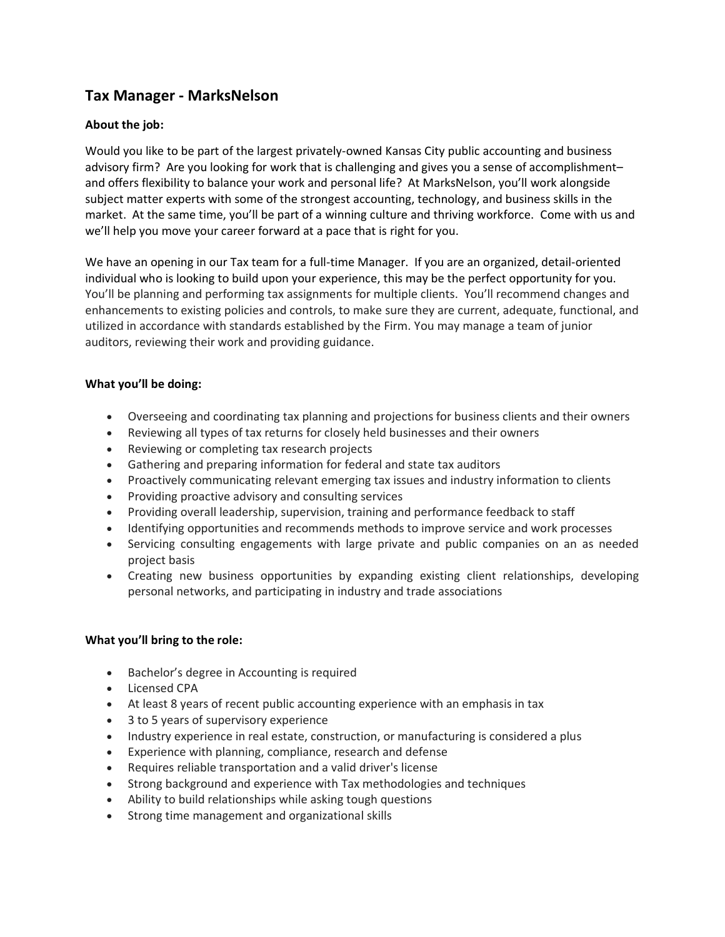# **Tax Manager - MarksNelson**

# **About the job:**

Would you like to be part of the largest privately-owned Kansas City public accounting and business advisory firm? Are you looking for work that is challenging and gives you a sense of accomplishment– and offers flexibility to balance your work and personal life? At MarksNelson, you'll work alongside subject matter experts with some of the strongest accounting, technology, and business skills in the market. At the same time, you'll be part of a winning culture and thriving workforce. Come with us and we'll help you move your career forward at a pace that is right for you.

We have an opening in our Tax team for a full-time Manager. If you are an organized, detail-oriented individual who is looking to build upon your experience, this may be the perfect opportunity for you. You'll be planning and performing tax assignments for multiple clients. You'll recommend changes and enhancements to existing policies and controls, to make sure they are current, adequate, functional, and utilized in accordance with standards established by the Firm. You may manage a team of junior auditors, reviewing their work and providing guidance.

## **What you'll be doing:**

- Overseeing and coordinating tax planning and projections for business clients and their owners
- Reviewing all types of tax returns for closely held businesses and their owners
- Reviewing or completing tax research projects
- Gathering and preparing information for federal and state tax auditors
- Proactively communicating relevant emerging tax issues and industry information to clients
- Providing proactive advisory and consulting services
- Providing overall leadership, supervision, training and performance feedback to staff
- Identifying opportunities and recommends methods to improve service and work processes
- Servicing consulting engagements with large private and public companies on an as needed project basis
- Creating new business opportunities by expanding existing client relationships, developing personal networks, and participating in industry and trade associations

#### **What you'll bring to the role:**

- Bachelor's degree in Accounting is required
- Licensed CPA
- At least 8 years of recent public accounting experience with an emphasis in tax
- 3 to 5 years of supervisory experience
- Industry experience in real estate, construction, or manufacturing is considered a plus
- Experience with planning, compliance, research and defense
- Requires reliable transportation and a valid driver's license
- Strong background and experience with Tax methodologies and techniques
- Ability to build relationships while asking tough questions
- Strong time management and organizational skills